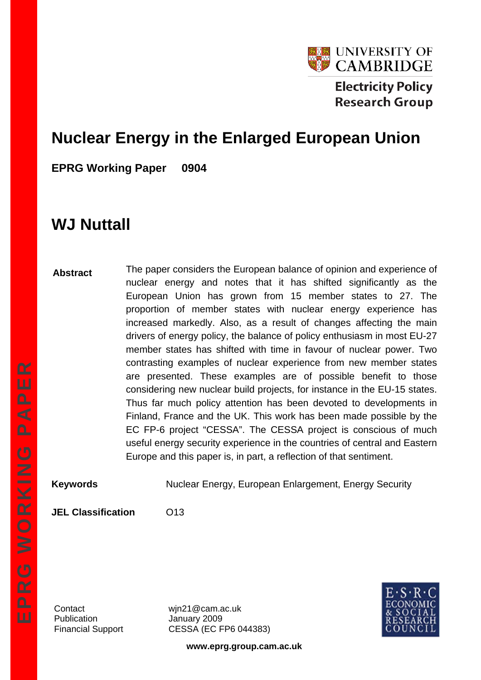

# **Nuclear Energy in the Enlarged European Union**

**EPRG Working Paper 0904**

# **WJ Nuttall**

**Abstract** The paper considers the European balance of opinion and experience of nuclear energy and notes that it has shifted significantly as the European Union has grown from 15 member states to 27. The proportion of member states with nuclear energy experience has increased markedly. Also, as a result of changes affecting the main drivers of energy policy, the balance of policy enthusiasm in most EU-27 member states has shifted with time in favour of nuclear power. Two contrasting examples of nuclear experience from new member states are presented. These examples are of possible benefit to those considering new nuclear build projects, for instance in the EU-15 states. Thus far much policy attention has been devoted to developments in Finland, France and the UK. This work has been made possible by the EC FP-6 project "CESSA". The CESSA project is conscious of much useful energy security experience in the countries of central and Eastern Europe and this paper is, in part, a reflection of that sentiment.

**Keywords Nuclear Energy, European Enlargement, Energy Security** 

**JEL Classification** 013

Publication January 2009

Contact wjn21@cam.ac.uk Financial Support CESSA (EC FP6 044383)



**www.eprg.group.cam.ac.uk**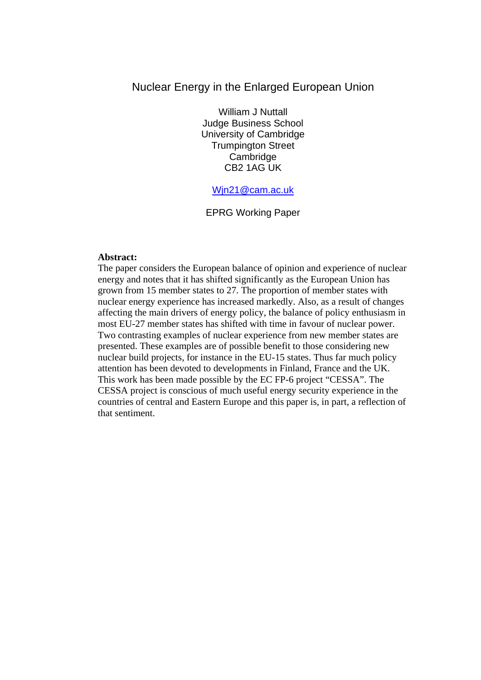## Nuclear Energy in the Enlarged European Union

William J Nuttall Judge Business School University of Cambridge Trumpington Street **Cambridge** CB2 1AG UK

## [Wjn21@cam.ac.uk](mailto:Wjn21@cam.ac.uk)

EPRG Working Paper

#### **Abstract:**

The paper considers the European balance of opinion and experience of nuclear energy and notes that it has shifted significantly as the European Union has grown from 15 member states to 27. The proportion of member states with nuclear energy experience has increased markedly. Also, as a result of changes affecting the main drivers of energy policy, the balance of policy enthusiasm in most EU-27 member states has shifted with time in favour of nuclear power. Two contrasting examples of nuclear experience from new member states are presented. These examples are of possible benefit to those considering new nuclear build projects, for instance in the EU-15 states. Thus far much policy attention has been devoted to developments in Finland, France and the UK. This work has been made possible by the EC FP-6 project "CESSA". The CESSA project is conscious of much useful energy security experience in the countries of central and Eastern Europe and this paper is, in part, a reflection of that sentiment.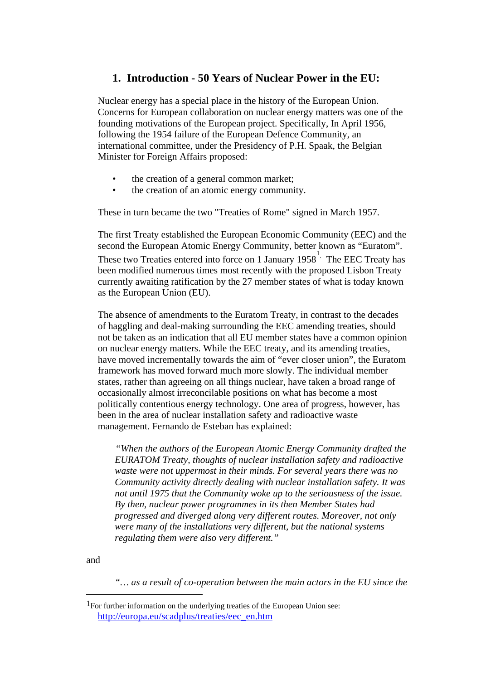# **1. Introduction - 50 Years of Nuclear Power in the EU:**

Nuclear energy has a special place in the history of the European Union. Concerns for European collaboration on nuclear energy matters was one of the founding motivations of the European project. Specifically, In April 1956, following the 1954 failure of the European Defence Community, an international committee, under the Presidency of P.H. Spaak, the Belgian Minister for Foreign Affairs proposed:

- the creation of a general common market;
- the creation of an atomic energy community.

These in turn became the two "Treaties of Rome" signed in March 1957.

The first Treaty established the European Economic Community (EEC) and the second the European Atomic Energy Community, better known as "Euratom". These two Treaties entered into force on [1](#page-2-0) January  $1958<sup>1</sup>$  The EEC Treaty has been modified numerous times most recently with the proposed Lisbon Treaty currently awaiting ratification by the 27 member states of what is today known as the European Union (EU).

The absence of amendments to the Euratom Treaty, in contrast to the decades of haggling and deal-making surrounding the EEC amending treaties, should not be taken as an indication that all EU member states have a common opinion on nuclear energy matters. While the EEC treaty, and its amending treaties, have moved incrementally towards the aim of "ever closer union", the Euratom framework has moved forward much more slowly. The individual member states, rather than agreeing on all things nuclear, have taken a broad range of occasionally almost irreconcilable positions on what has become a most politically contentious energy technology. One area of progress, however, has been in the area of nuclear installation safety and radioactive waste management. Fernando de Esteban has explained:

*"When the authors of the European Atomic Energy Community drafted the EURATOM Treaty, thoughts of nuclear installation safety and radioactive waste were not uppermost in their minds. For several years there was no Community activity directly dealing with nuclear installation safety. It was not until 1975 that the Community woke up to the seriousness of the issue. By then, nuclear power programmes in its then Member States had progressed and diverged along very different routes. Moreover, not only were many of the installations very different, but the national systems regulating them were also very different."*

and

*"… as a result of co-operation between the main actors in the EU since the* 

<span id="page-2-0"></span> <sup>1</sup>For further information on the underlying treaties of the European Union see: [http://europa.eu/scadplus/treaties/eec\\_en.htm](http://europa.eu/scadplus/treaties/eec_en.htm)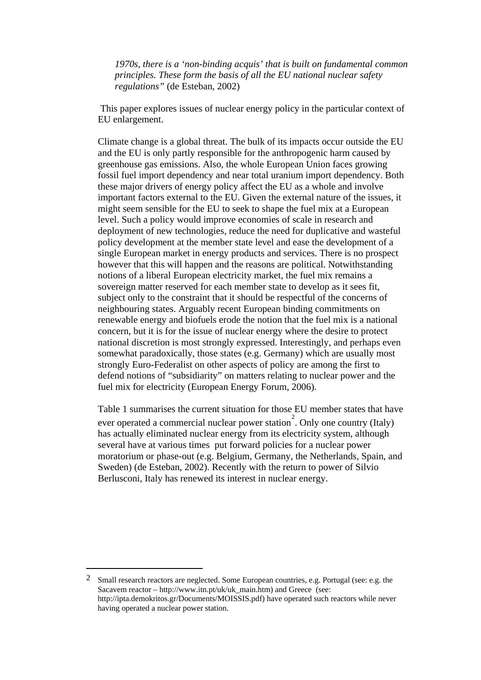*1970s, there is a 'non-binding acquis' that is built on fundamental common principles. These form the basis of all the EU national nuclear safety regulations"* (de Esteban, 2002)

This paper explores issues of nuclear energy policy in the particular context of EU enlargement.

Climate change is a global threat. The bulk of its impacts occur outside the EU and the EU is only partly responsible for the anthropogenic harm caused by greenhouse gas emissions. Also, the whole European Union faces growing fossil fuel import dependency and near total uranium import dependency. Both these major drivers of energy policy affect the EU as a whole and involve important factors external to the EU. Given the external nature of the issues, it might seem sensible for the EU to seek to shape the fuel mix at a European level. Such a policy would improve economies of scale in research and deployment of new technologies, reduce the need for duplicative and wasteful policy development at the member state level and ease the development of a single European market in energy products and services. There is no prospect however that this will happen and the reasons are political. Notwithstanding notions of a liberal European electricity market, the fuel mix remains a sovereign matter reserved for each member state to develop as it sees fit, subject only to the constraint that it should be respectful of the concerns of neighbouring states. Arguably recent European binding commitments on renewable energy and biofuels erode the notion that the fuel mix is a national concern, but it is for the issue of nuclear energy where the desire to protect national discretion is most strongly expressed. Interestingly, and perhaps even somewhat paradoxically, those states (e.g. Germany) which are usually most strongly Euro-Federalist on other aspects of policy are among the first to defend notions of "subsidiarity" on matters relating to nuclear power and the fuel mix for electricity (European Energy Forum, 2006).

Table 1 summarises the current situation for those EU member states that have ever operated a commercial nuclear power station<sup>[2](#page-3-0)</sup>. Only one country (Italy) has actually eliminated nuclear energy from its electricity system, although several have at various times put forward policies for a nuclear power moratorium or phase-out (e.g. Belgium, Germany, the Netherlands, Spain, and Sweden) (de Esteban, 2002). Recently with the return to power of Silvio Berlusconi, Italy has renewed its interest in nuclear energy.

<span id="page-3-0"></span> <sup>2</sup> Small research reactors are neglected. Some European countries, e.g. Portugal (see: e.g. the Sacavem reactor – [http://www.itn.pt/uk/uk\\_main.htm\) a](http://www.itn.pt/uk/uk_main.htm)nd Greece (see: [http://ipta.demokritos.gr/Documents/MOISSIS.pdf\)](http://ipta.demokritos.gr/Documents/MOISSIS.pdf) have operated such reactors while never having operated a nuclear power station.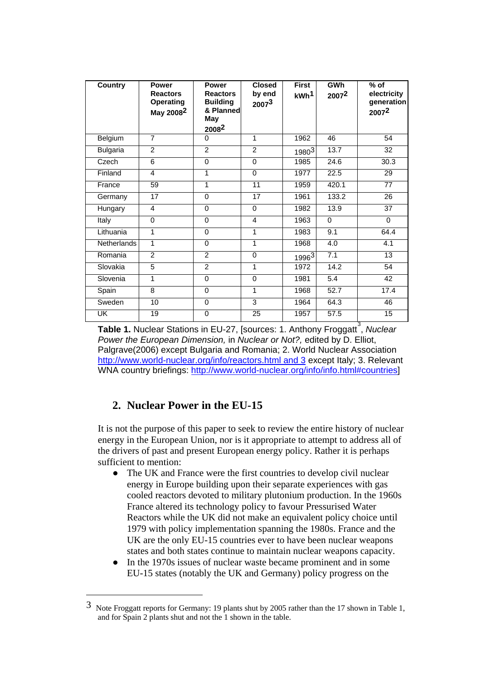| Country         | <b>Power</b><br><b>Reactors</b><br><b>Operating</b><br>May 2008 <sup>2</sup> | <b>Power</b><br><b>Reactors</b><br><b>Building</b><br>& Planned<br>May<br>20082 | <b>Closed</b><br>by end<br>$2007^3$ | <b>First</b><br>kWh <sup>1</sup> | <b>GWh</b><br>20072 | $%$ of<br>electricity<br>generation<br>20072 |
|-----------------|------------------------------------------------------------------------------|---------------------------------------------------------------------------------|-------------------------------------|----------------------------------|---------------------|----------------------------------------------|
| Belgium         | $\overline{7}$                                                               | 0                                                                               | $\mathbf{1}$                        | 1962                             | 46                  | 54                                           |
| <b>Bulgaria</b> | $\overline{2}$                                                               | $\overline{2}$                                                                  | $\overline{2}$                      | 19803                            | 13.7                | 32                                           |
| Czech           | 6                                                                            | $\mathbf 0$                                                                     | 0                                   | 1985                             | 24.6                | 30.3                                         |
| Finland         | 4                                                                            | 1                                                                               | 0                                   | 1977                             | 22.5                | 29                                           |
| France          | 59                                                                           | 1                                                                               | 11                                  | 1959                             | 420.1               | 77                                           |
| Germany         | 17                                                                           | 0                                                                               | 17                                  | 1961                             | 133.2               | 26                                           |
| Hungary         | 4                                                                            | 0                                                                               | 0                                   | 1982                             | 13.9                | 37                                           |
| Italy           | 0                                                                            | 0                                                                               | 4                                   | 1963                             | $\Omega$            | $\mathbf 0$                                  |
| Lithuania       | 1                                                                            | 0                                                                               | 1                                   | 1983                             | 9.1                 | 64.4                                         |
| Netherlands     | 1                                                                            | $\mathbf 0$                                                                     | 1                                   | 1968                             | 4.0                 | 4.1                                          |
| Romania         | $\overline{2}$                                                               | $\overline{2}$                                                                  | 0                                   | 19963                            | 7.1                 | $\overline{13}$                              |
| Slovakia        | $\overline{5}$                                                               | $\overline{2}$                                                                  | $\mathbf{1}$                        | 1972                             | 14.2                | 54                                           |
| Slovenia        | 1                                                                            | 0                                                                               | 0                                   | 1981                             | 5.4                 | 42                                           |
| Spain           | 8                                                                            | 0                                                                               | 1                                   | 1968                             | 52.7                | 17.4                                         |
| Sweden          | 10                                                                           | 0                                                                               | 3                                   | 1964                             | 64.3                | 46                                           |
| UK              | 19                                                                           | 0                                                                               | 25                                  | 1957                             | 57.5                | 15                                           |

Table 1. Nuclear Stations in EU-27, [sources: 1. Anthony Froggatt<sup>[3](#page-4-0)</sup>, Nuclear *Power the European Dimension,* in *Nuclear or Not?,* edited by D. Elliot, Palgrave(2006) except Bulgaria and Romania; 2. World Nuclear Association [http://www.world-nuclear.org/info/reactors.html and 3](http://www.world-nuclear.org/info/reactors.html%20and%203) except Italy; 3. Relevant WNA country briefings: [http://www.world-nuclear.org/info/info.html#countries\]](http://www.world-nuclear.org/info/info.html)

# **2. Nuclear Power in the EU-15**

 $\overline{a}$ 

It is not the purpose of this paper to seek to review the entire history of nuclear energy in the European Union, nor is it appropriate to attempt to address all of the drivers of past and present European energy policy. Rather it is perhaps sufficient to mention:

- The UK and France were the first countries to develop civil nuclear energy in Europe building upon their separate experiences with gas cooled reactors devoted to military plutonium production. In the 1960s France altered its technology policy to favour Pressurised Water Reactors while the UK did not make an equivalent policy choice until 1979 with policy implementation spanning the 1980s. France and the UK are the only EU-15 countries ever to have been nuclear weapons states and both states continue to maintain nuclear weapons capacity.
- In the 1970s issues of nuclear waste became prominent and in some EU-15 states (notably the UK and Germany) policy progress on the

<span id="page-4-0"></span><sup>3</sup> Note Froggatt reports for Germany: 19 plants shut by 2005 rather than the 17 shown in Table 1, and for Spain 2 plants shut and not the 1 shown in the table.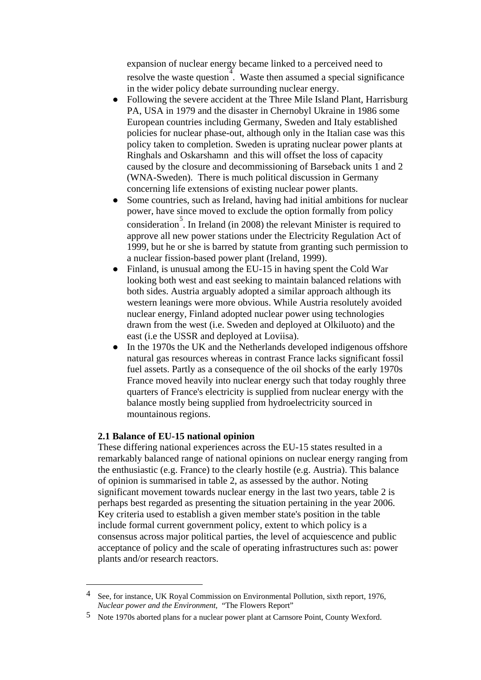expansion of nuclear energy became linked to a perceived need to resolve the waste question<sup>[4](#page-5-0)</sup>. Waste then assumed a special significance in the wider policy debate surrounding nuclear energy.

- Following the severe accident at the Three Mile Island Plant, Harrisburg PA, USA in 1979 and the disaster in Chernobyl Ukraine in 1986 some European countries including Germany, Sweden and Italy established policies for nuclear phase-out, although only in the Italian case was this policy taken to completion. Sweden is uprating nuclear power plants at Ringhals and Oskarshamn and this will offset the loss of capacity caused by the closure and decommissioning of Barseback units 1 and 2 (WNA-Sweden). There is much political discussion in Germany concerning life extensions of existing nuclear power plants.
- Some countries, such as Ireland, having had initial ambitions for nuclear power, have since moved to exclude the option formally from policy consideration [5](#page-5-1) . In Ireland (in 2008) the relevant Minister is required to approve all new power stations under the Electricity Regulation Act of 1999, but he or she is barred by statute from granting such permission to a nuclear fission-based power plant (Ireland, 1999).
- Finland, is unusual among the EU-15 in having spent the Cold War looking both west and east seeking to maintain balanced relations with both sides. Austria arguably adopted a similar approach although its western leanings were more obvious. While Austria resolutely avoided nuclear energy, Finland adopted nuclear power using technologies drawn from the west (i.e. Sweden and deployed at Olkiluoto) and the east (i.e the USSR and deployed at Loviisa).
- In the 1970s the UK and the Netherlands developed indigenous offshore natural gas resources whereas in contrast France lacks significant fossil fuel assets. Partly as a consequence of the oil shocks of the early 1970s France moved heavily into nuclear energy such that today roughly three quarters of France's electricity is supplied from nuclear energy with the balance mostly being supplied from hydroelectricity sourced in mountainous regions.

#### **2.1 Balance of EU-15 national opinion**

These differing national experiences across the EU-15 states resulted in a remarkably balanced range of national opinions on nuclear energy ranging from the enthusiastic (e.g. France) to the clearly hostile (e.g. Austria). This balance of opinion is summarised in table 2, as assessed by the author. Noting significant movement towards nuclear energy in the last two years, table 2 is perhaps best regarded as presenting the situation pertaining in the year 2006. Key criteria used to establish a given member state's position in the table include formal current government policy, extent to which policy is a consensus across major political parties, the level of acquiescence and public acceptance of policy and the scale of operating infrastructures such as: power plants and/or research reactors.

<span id="page-5-0"></span> <sup>4</sup> See, for instance, UK Royal Commission on Environmental Pollution, sixth report, 1976, *Nuclear power and the Environment,* "The Flowers Report"

<span id="page-5-1"></span><sup>5</sup> Note 1970s aborted plans for a nuclear power plant at Carnsore Point, County Wexford.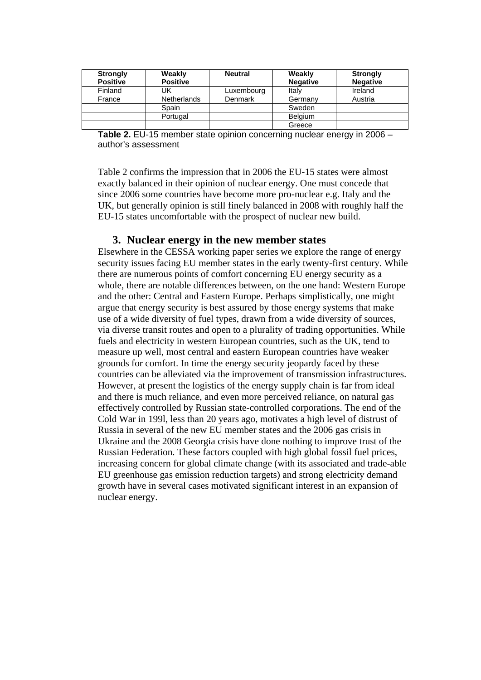| <b>Strongly</b><br><b>Positive</b> | Weakly<br><b>Positive</b> | <b>Neutral</b> | Weakly<br><b>Negative</b> | <b>Strongly</b><br><b>Negative</b> |
|------------------------------------|---------------------------|----------------|---------------------------|------------------------------------|
| Finland                            | UK                        | Luxembourg     | Italv                     | Ireland                            |
| France                             | <b>Netherlands</b>        | Denmark        | Germany                   | Austria                            |
|                                    | Spain                     |                | Sweden                    |                                    |
|                                    | Portugal                  |                | <b>Belgium</b>            |                                    |
|                                    |                           |                | Greece                    |                                    |

**Table 2.** EU-15 member state opinion concerning nuclear energy in 2006 – author's assessment

Table 2 confirms the impression that in 2006 the EU-15 states were almost exactly balanced in their opinion of nuclear energy. One must concede that since 2006 some countries have become more pro-nuclear e.g. Italy and the UK, but generally opinion is still finely balanced in 2008 with roughly half the EU-15 states uncomfortable with the prospect of nuclear new build.

### **3. Nuclear energy in the new member states**

Elsewhere in the CESSA working paper series we explore the range of energy security issues facing EU member states in the early twenty-first century. While there are numerous points of comfort concerning EU energy security as a whole, there are notable differences between, on the one hand: Western Europe and the other: Central and Eastern Europe. Perhaps simplistically, one might argue that energy security is best assured by those energy systems that make use of a wide diversity of fuel types, drawn from a wide diversity of sources, via diverse transit routes and open to a plurality of trading opportunities. While fuels and electricity in western European countries, such as the UK, tend to measure up well, most central and eastern European countries have weaker grounds for comfort. In time the energy security jeopardy faced by these countries can be alleviated via the improvement of transmission infrastructures. However, at present the logistics of the energy supply chain is far from ideal and there is much reliance, and even more perceived reliance, on natural gas effectively controlled by Russian state-controlled corporations. The end of the Cold War in 199l, less than 20 years ago, motivates a high level of distrust of Russia in several of the new EU member states and the 2006 gas crisis in Ukraine and the 2008 Georgia crisis have done nothing to improve trust of the Russian Federation. These factors coupled with high global fossil fuel prices, increasing concern for global climate change (with its associated and trade-able EU greenhouse gas emission reduction targets) and strong electricity demand growth have in several cases motivated significant interest in an expansion of nuclear energy.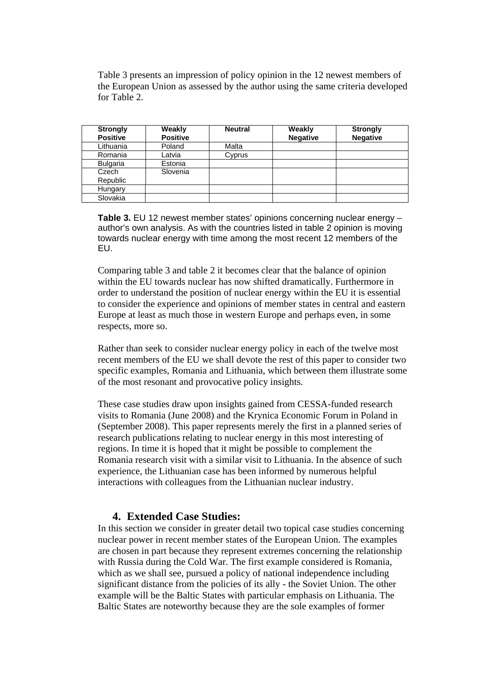Table 3 presents an impression of policy opinion in the 12 newest members of the European Union as assessed by the author using the same criteria developed for Table 2.

| <b>Strongly</b><br><b>Positive</b> | Weakly<br><b>Positive</b> | <b>Neutral</b> | Weakly<br><b>Negative</b> | <b>Strongly</b><br><b>Negative</b> |
|------------------------------------|---------------------------|----------------|---------------------------|------------------------------------|
| Lithuania                          | Poland                    | Malta          |                           |                                    |
| Romania                            | Latvia                    | Cyprus         |                           |                                    |
| <b>Bulgaria</b>                    | Estonia                   |                |                           |                                    |
| Czech                              | Slovenia                  |                |                           |                                    |
| Republic                           |                           |                |                           |                                    |
| Hungary                            |                           |                |                           |                                    |
| Slovakia                           |                           |                |                           |                                    |

**Table 3.** EU 12 newest member states' opinions concerning nuclear energy – author's own analysis. As with the countries listed in table 2 opinion is moving towards nuclear energy with time among the most recent 12 members of the EU.

Comparing table 3 and table 2 it becomes clear that the balance of opinion within the EU towards nuclear has now shifted dramatically. Furthermore in order to understand the position of nuclear energy within the EU it is essential to consider the experience and opinions of member states in central and eastern Europe at least as much those in western Europe and perhaps even, in some respects, more so.

Rather than seek to consider nuclear energy policy in each of the twelve most recent members of the EU we shall devote the rest of this paper to consider two specific examples, Romania and Lithuania, which between them illustrate some of the most resonant and provocative policy insights.

These case studies draw upon insights gained from CESSA-funded research visits to Romania (June 2008) and the Krynica Economic Forum in Poland in (September 2008). This paper represents merely the first in a planned series of research publications relating to nuclear energy in this most interesting of regions. In time it is hoped that it might be possible to complement the Romania research visit with a similar visit to Lithuania. In the absence of such experience, the Lithuanian case has been informed by numerous helpful interactions with colleagues from the Lithuanian nuclear industry.

# **4. Extended Case Studies:**

In this section we consider in greater detail two topical case studies concerning nuclear power in recent member states of the European Union. The examples are chosen in part because they represent extremes concerning the relationship with Russia during the Cold War. The first example considered is Romania, which as we shall see, pursued a policy of national independence including significant distance from the policies of its ally - the Soviet Union. The other example will be the Baltic States with particular emphasis on Lithuania. The Baltic States are noteworthy because they are the sole examples of former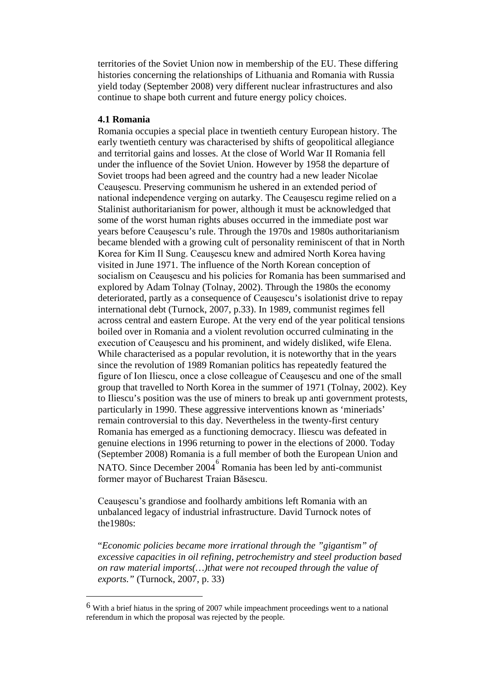territories of the Soviet Union now in membership of the EU. These differing histories concerning the relationships of Lithuania and Romania with Russia yield today (September 2008) very different nuclear infrastructures and also continue to shape both current and future energy policy choices.

#### **4.1 Romania**

Romania occupies a special place in twentieth century European history. The early twentieth century was characterised by shifts of geopolitical allegiance and territorial gains and losses. At the close of World War II Romania fell under the influence of the Soviet Union. However by 1958 the departure of Soviet troops had been agreed and the country had a new leader Nicolae Ceauşescu. Preserving communism he ushered in an extended period of national independence verging on autarky. The Ceauşescu regime relied on a Stalinist authoritarianism for power, although it must be acknowledged that some of the worst human rights abuses occurred in the immediate post war years before Ceauşescu's rule. Through the 1970s and 1980s authoritarianism became blended with a growing cult of personality reminiscent of that in North Korea for Kim Il Sung. Ceauşescu knew and admired North Korea having visited in June 1971. The influence of the North Korean conception of socialism on Ceauşescu and his policies for Romania has been summarised and explored by Adam Tolnay (Tolnay, 2002). Through the 1980s the economy deteriorated, partly as a consequence of Ceauşescu's isolationist drive to repay international debt (Turnock, 2007, p.33). In 1989, communist regimes fell across central and eastern Europe. At the very end of the year political tensions boiled over in Romania and a violent revolution occurred culminating in the execution of Ceauşescu and his prominent, and widely disliked, wife Elena. While characterised as a popular revolution, it is noteworthy that in the years since the revolution of 1989 Romanian politics has repeatedly featured the figure of Ion Iliescu, once a close colleague of Ceauşescu and one of the small group that travelled to North Korea in the summer of 1971 (Tolnay, 2002). Key to Iliescu's position was the use of miners to break up anti government protests, particularly in 1990. These aggressive interventions known as 'mineriads' remain controversial to this day. Nevertheless in the twenty-first century Romania has emerged as a functioning democracy. Iliescu was defeated in genuine elections in 1996 returning to power in the elections of 2000. Today (September 2008) Romania is a full member of both the European Union and NATO. Since December 2004 [6](#page-8-0) Romania has been led by anti-communist former mayor of Bucharest Traian Băsescu.

Ceauşescu's grandiose and foolhardy ambitions left Romania with an unbalanced legacy of industrial infrastructure. David Turnock notes of the1980s:

"*Economic policies became more irrational through the "gigantism" of excessive capacities in oil refining, petrochemistry and steel production based on raw material imports(…)that were not recouped through the value of exports."* (Turnock, 2007, p. 33)

<span id="page-8-0"></span> $6$  With a brief hiatus in the spring of 2007 while impeachment proceedings went to a national referendum in which the proposal was rejected by the people.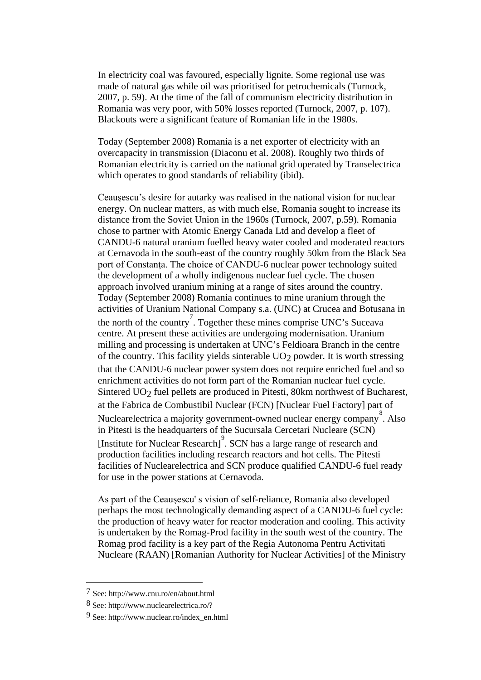In electricity coal was favoured, especially lignite. Some regional use was made of natural gas while oil was prioritised for petrochemicals (Turnock, 2007, p. 59). At the time of the fall of communism electricity distribution in Romania was very poor, with 50% losses reported (Turnock, 2007, p. 107). Blackouts were a significant feature of Romanian life in the 1980s.

Today (September 2008) Romania is a net exporter of electricity with an overcapacity in transmission (Diaconu et al. 2008). Roughly two thirds of Romanian electricity is carried on the national grid operated by Transelectrica which operates to good standards of reliability (ibid).

Ceausescu's desire for autarky was realised in the national vision for nuclear energy. On nuclear matters, as with much else, Romania sought to increase its distance from the Soviet Union in the 1960s (Turnock, 2007, p.59). Romania chose to partner with Atomic Energy Canada Ltd and develop a fleet of CANDU-6 natural uranium fuelled heavy water cooled and moderated reactors at Cernavoda in the south-east of the country roughly 50km from the Black Sea port of Constanta. The choice of CANDU-6 nuclear power technology suited the development of a wholly indigenous nuclear fuel cycle. The chosen approach involved uranium mining at a range of sites around the country. Today (September 2008) Romania continues to mine uranium through the activities of Uranium National Company s.a. (UNC) at Crucea and Botusana in the north of the country<sup>[7](#page-9-0)</sup>. Together these mines comprise UNC's Suceava centre. At present these activities are undergoing modernisation. Uranium milling and processing is undertaken at UNC's Feldioara Branch in the centre of the country. This facility yields sinterable  $UO<sub>2</sub>$  powder. It is worth stressing that the CANDU-6 nuclear power system does not require enriched fuel and so enrichment activities do not form part of the Romanian nuclear fuel cycle. Sintered  $UO<sub>2</sub>$  fuel pellets are produced in Pitesti, 80km northwest of Bucharest, at the Fabrica de Combustibil Nuclear (FCN) [Nuclear Fuel Factory] part of Nuclearelectrica a majority government-owned nuclear energy company. Also in Pitesti is the headquarters of the Sucursala Cercetari Nucleare (SCN) [Institute for Nuclear Research] [9](#page-9-2) . SCN has a large range of research and production facilities including research reactors and hot cells. The Pitesti facilities of Nuclearelectrica and SCN produce qualified CANDU-6 fuel ready for use in the power stations at Cernavoda.

As part of the Ceauşescu' s vision of self-reliance, Romania also developed perhaps the most technologically demanding aspect of a CANDU-6 fuel cycle: the production of heavy water for reactor moderation and cooling. This activity is undertaken by the Romag-Prod facility in the south west of the country. The Romag prod facility is a key part of the Regia Autonoma Pentru Activitati Nucleare (RAAN) [Romanian Authority for Nuclear Activities] of the Ministry

<span id="page-9-0"></span> <sup>7</sup> See: http://www.cnu.ro/en/about.html

<span id="page-9-1"></span><sup>8</sup> See: http://www.nuclearelectrica.ro/?

<span id="page-9-2"></span><sup>9</sup> See: http://www.nuclear.ro/index\_en.html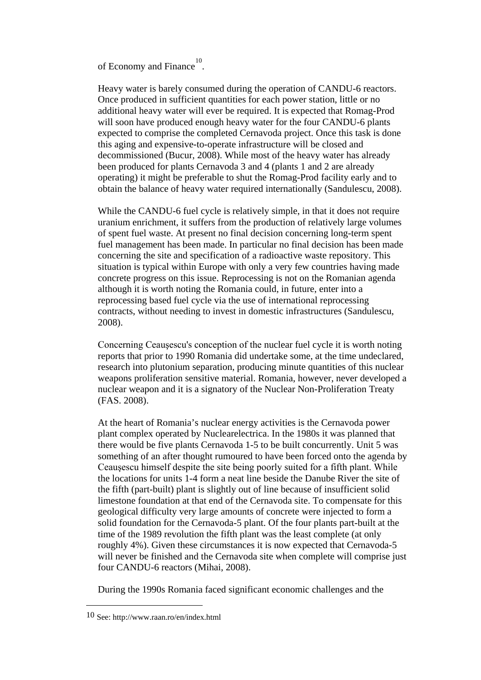of Economy and Finance<sup>[10](#page-10-0)</sup>.

Heavy water is barely consumed during the operation of CANDU-6 reactors. Once produced in sufficient quantities for each power station, little or no additional heavy water will ever be required. It is expected that Romag-Prod will soon have produced enough heavy water for the four CANDU-6 plants expected to comprise the completed Cernavoda project. Once this task is done this aging and expensive-to-operate infrastructure will be closed and decommissioned (Bucur, 2008). While most of the heavy water has already been produced for plants Cernavoda 3 and 4 (plants 1 and 2 are already operating) it might be preferable to shut the Romag-Prod facility early and to obtain the balance of heavy water required internationally (Sandulescu, 2008).

While the CANDU-6 fuel cycle is relatively simple, in that it does not require uranium enrichment, it suffers from the production of relatively large volumes of spent fuel waste. At present no final decision concerning long-term spent fuel management has been made. In particular no final decision has been made concerning the site and specification of a radioactive waste repository. This situation is typical within Europe with only a very few countries having made concrete progress on this issue. Reprocessing is not on the Romanian agenda although it is worth noting the Romania could, in future, enter into a reprocessing based fuel cycle via the use of international reprocessing contracts, without needing to invest in domestic infrastructures (Sandulescu, 2008).

Concerning Ceauşescu's conception of the nuclear fuel cycle it is worth noting reports that prior to 1990 Romania did undertake some, at the time undeclared, research into plutonium separation, producing minute quantities of this nuclear weapons proliferation sensitive material. Romania, however, never developed a nuclear weapon and it is a signatory of the Nuclear Non-Proliferation Treaty (FAS. 2008).

At the heart of Romania's nuclear energy activities is the Cernavoda power plant complex operated by Nuclearelectrica. In the 1980s it was planned that there would be five plants Cernavoda 1-5 to be built concurrently. Unit 5 was something of an after thought rumoured to have been forced onto the agenda by Ceauşescu himself despite the site being poorly suited for a fifth plant. While the locations for units 1-4 form a neat line beside the Danube River the site of the fifth (part-built) plant is slightly out of line because of insufficient solid limestone foundation at that end of the Cernavoda site. To compensate for this geological difficulty very large amounts of concrete were injected to form a solid foundation for the Cernavoda-5 plant. Of the four plants part-built at the time of the 1989 revolution the fifth plant was the least complete (at only roughly 4%). Given these circumstances it is now expected that Cernavoda-5 will never be finished and the Cernavoda site when complete will comprise just four CANDU-6 reactors (Mihai, 2008).

During the 1990s Romania faced significant economic challenges and the

<span id="page-10-0"></span> <sup>10</sup> See: http://www.raan.ro/en/index.html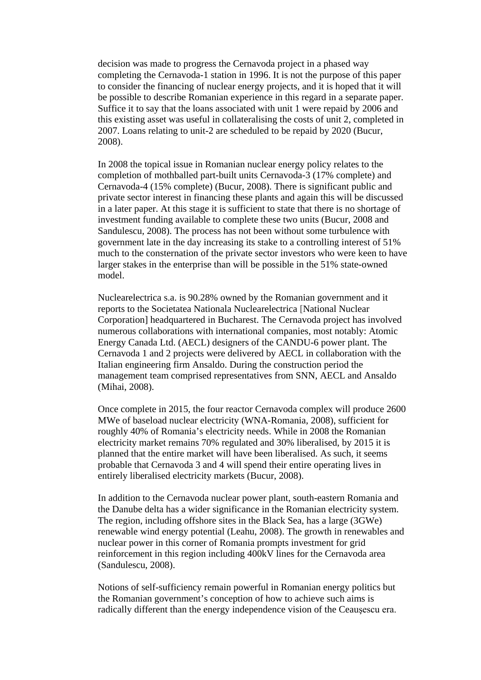decision was made to progress the Cernavoda project in a phased way completing the Cernavoda-1 station in 1996. It is not the purpose of this paper to consider the financing of nuclear energy projects, and it is hoped that it will be possible to describe Romanian experience in this regard in a separate paper. Suffice it to say that the loans associated with unit 1 were repaid by 2006 and this existing asset was useful in collateralising the costs of unit 2, completed in 2007. Loans relating to unit-2 are scheduled to be repaid by 2020 (Bucur, 2008).

In 2008 the topical issue in Romanian nuclear energy policy relates to the completion of mothballed part-built units Cernavoda-3 (17% complete) and Cernavoda-4 (15% complete) (Bucur, 2008). There is significant public and private sector interest in financing these plants and again this will be discussed in a later paper. At this stage it is sufficient to state that there is no shortage of investment funding available to complete these two units (Bucur, 2008 and Sandulescu, 2008). The process has not been without some turbulence with government late in the day increasing its stake to a controlling interest of 51% much to the consternation of the private sector investors who were keen to have larger stakes in the enterprise than will be possible in the 51% state-owned model.

Nuclearelectrica s.a. is 90.28% owned by the Romanian government and it reports to the Societatea Nationala Nuclearelectrica [National Nuclear Corporation] headquartered in Bucharest. The Cernavoda project has involved numerous collaborations with international companies, most notably: Atomic Energy Canada Ltd. (AECL) designers of the CANDU-6 power plant. The Cernavoda 1 and 2 projects were delivered by AECL in collaboration with the Italian engineering firm Ansaldo. During the construction period the management team comprised representatives from SNN, AECL and Ansaldo (Mihai, 2008).

Once complete in 2015, the four reactor Cernavoda complex will produce 2600 MWe of baseload nuclear electricity (WNA-Romania, 2008), sufficient for roughly 40% of Romania's electricity needs. While in 2008 the Romanian electricity market remains 70% regulated and 30% liberalised, by 2015 it is planned that the entire market will have been liberalised. As such, it seems probable that Cernavoda 3 and 4 will spend their entire operating lives in entirely liberalised electricity markets (Bucur, 2008).

In addition to the Cernavoda nuclear power plant, south-eastern Romania and the Danube delta has a wider significance in the Romanian electricity system. The region, including offshore sites in the Black Sea, has a large (3GWe) renewable wind energy potential (Leahu, 2008). The growth in renewables and nuclear power in this corner of Romania prompts investment for grid reinforcement in this region including 400kV lines for the Cernavoda area (Sandulescu, 2008).

Notions of self-sufficiency remain powerful in Romanian energy politics but the Romanian government's conception of how to achieve such aims is radically different than the energy independence vision of the Ceauşescu era.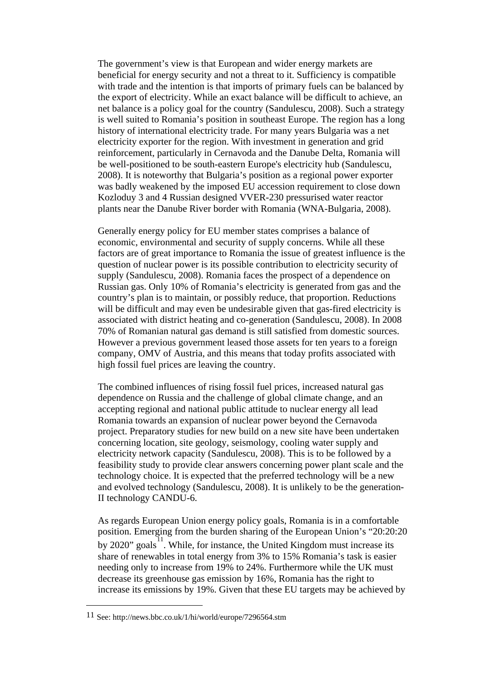The government's view is that European and wider energy markets are beneficial for energy security and not a threat to it. Sufficiency is compatible with trade and the intention is that imports of primary fuels can be balanced by the export of electricity. While an exact balance will be difficult to achieve, an net balance is a policy goal for the country (Sandulescu, 2008). Such a strategy is well suited to Romania's position in southeast Europe. The region has a long history of international electricity trade. For many years Bulgaria was a net electricity exporter for the region. With investment in generation and grid reinforcement, particularly in Cernavoda and the Danube Delta, Romania will be well-positioned to be south-eastern Europe's electricity hub (Sandulescu, 2008). It is noteworthy that Bulgaria's position as a regional power exporter was badly weakened by the imposed EU accession requirement to close down Kozloduy 3 and 4 Russian designed VVER-230 pressurised water reactor plants near the Danube River border with Romania (WNA-Bulgaria, 2008).

Generally energy policy for EU member states comprises a balance of economic, environmental and security of supply concerns. While all these factors are of great importance to Romania the issue of greatest influence is the question of nuclear power is its possible contribution to electricity security of supply (Sandulescu, 2008). Romania faces the prospect of a dependence on Russian gas. Only 10% of Romania's electricity is generated from gas and the country's plan is to maintain, or possibly reduce, that proportion. Reductions will be difficult and may even be undesirable given that gas-fired electricity is associated with district heating and co-generation (Sandulescu, 2008). In 2008 70% of Romanian natural gas demand is still satisfied from domestic sources. However a previous government leased those assets for ten years to a foreign company, OMV of Austria, and this means that today profits associated with high fossil fuel prices are leaving the country.

The combined influences of rising fossil fuel prices, increased natural gas dependence on Russia and the challenge of global climate change, and an accepting regional and national public attitude to nuclear energy all lead Romania towards an expansion of nuclear power beyond the Cernavoda project. Preparatory studies for new build on a new site have been undertaken concerning location, site geology, seismology, cooling water supply and electricity network capacity (Sandulescu, 2008). This is to be followed by a feasibility study to provide clear answers concerning power plant scale and the technology choice. It is expected that the preferred technology will be a new and evolved technology (Sandulescu, 2008). It is unlikely to be the generation-II technology CANDU-6.

As regards European Union energy policy goals, Romania is in a comfortable position. Emerging from the burden sharing of the European Union's "20:20:20 by 2020" goals<sup>[11](#page-12-0)</sup>. While, for instance, the United Kingdom must increase its share of renewables in total energy from 3% to 15% Romania's task is easier needing only to increase from 19% to 24%. Furthermore while the UK must decrease its greenhouse gas emission by 16%, Romania has the right to increase its emissions by 19%. Given that these EU targets may be achieved by

<span id="page-12-0"></span> <sup>11</sup> See: http://news.bbc.co.uk/1/hi/world/europe/7296564.stm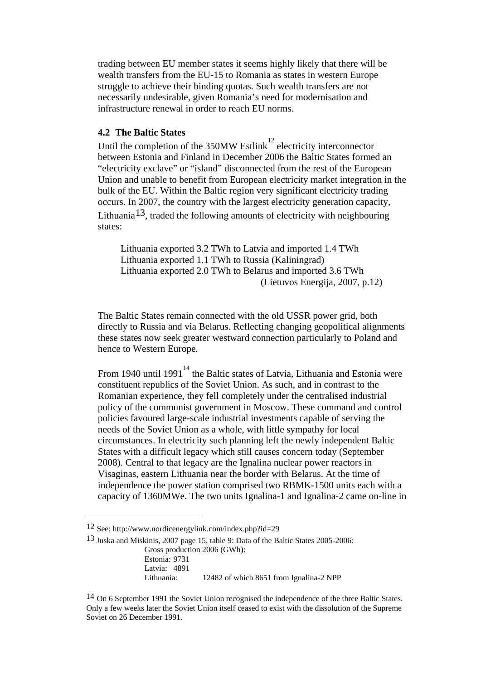trading between EU member states it seems highly likely that there will be wealth transfers from the EU-15 to Romania as states in western Europe struggle to achieve their binding quotas. Such wealth transfers are not necessarily undesirable, given Romania's need for modernisation and infrastructure renewal in order to reach EU norms.

## **4.2 The Baltic States**

Until the completion of the  $350MW$  Estlink<sup>[12](#page-13-0)</sup> electricity interconnector between Estonia and Finland in December 2006 the Baltic States formed an "electricity exclave" or "island" disconnected from the rest of the European Union and unable to benefit from European electricity market integration in the bulk of the EU. Within the Baltic region very significant electricity trading occurs. In 2007, the country with the largest electricity generation capacity, Lithuania  $13$ , traded the following amounts of electricity with neighbouring states:

Lithuania exported 3.2 TWh to Latvia and imported 1.4 TWh Lithuania exported 1.1 TWh to Russia (Kaliningrad) Lithuania exported 2.0 TWh to Belarus and imported 3.6 TWh (Lietuvos Energija, 2007, p.12)

The Baltic States remain connected with the old USSR power grid, both directly to Russia and via Belarus. Reflecting changing geopolitical alignments these states now seek greater westward connection particularly to Poland and hence to Western Europe.

From 1940 until 1991<sup>[14](#page-13-2)</sup> the Baltic states of Latvia, Lithuania and Estonia were constituent republics of the Soviet Union. As such, and in contrast to the Romanian experience, they fell completely under the centralised industrial policy of the communist government in Moscow. These command and control policies favoured large-scale industrial investments capable of serving the needs of the Soviet Union as a whole, with little sympathy for local circumstances. In electricity such planning left the newly independent Baltic States with a difficult legacy which still causes concern today (September 2008). Central to that legacy are the Ignalina nuclear power reactors in Visaginas, eastern Lithuania near the border with Belarus. At the time of independence the power station comprised two RBMK-1500 units each with a capacity of 1360MWe. The two units Ignalina-1 and Ignalina-2 came on-line in

<span id="page-13-0"></span> <sup>12</sup> See: http://www.nordicenergylink.com/index.php?id=29

<span id="page-13-1"></span><sup>13</sup> Juska and Miskinis, 2007 page 15, table 9: Data of the Baltic States 2005-2006: Gross production 2006 (GWh): Estonia: 9731 Latvia: 4891 Lithuania: 12482 of which 8651 from Ignalina-2 NPP

<span id="page-13-2"></span><sup>&</sup>lt;sup>14</sup> On 6 September 1991 the Soviet Union recognised the independence of the three Baltic States. Only a few weeks later the Soviet Union itself ceased to exist with the dissolution of the Supreme Soviet on 26 December 1991.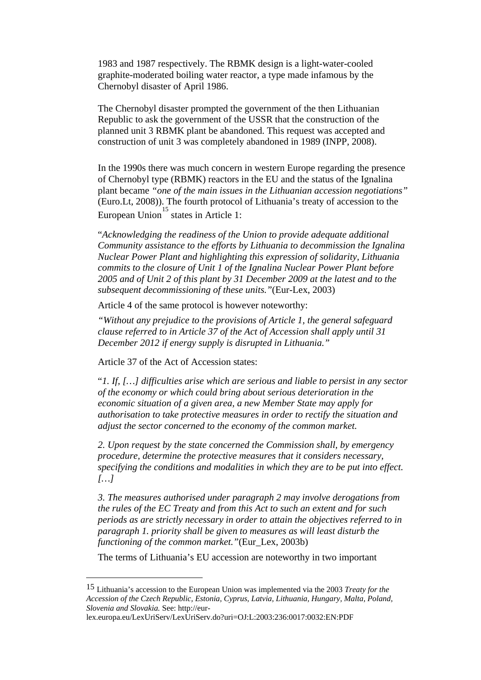1983 and 1987 respectively. The RBMK design is a light-water-cooled graphite-moderated boiling water reactor, a type made infamous by the Chernobyl disaster of April 1986.

The Chernobyl disaster prompted the government of the then Lithuanian Republic to ask the government of the USSR that the construction of the planned unit 3 RBMK plant be abandoned. This request was accepted and construction of unit 3 was completely abandoned in 1989 (INPP, 2008).

In the 1990s there was much concern in western Europe regarding the presence of Chernobyl type (RBMK) reactors in the EU and the status of the Ignalina plant became *"one of the main issues in the Lithuanian accession negotiations"* (Euro.Lt, 2008)). The fourth protocol of Lithuania's treaty of accession to the European Union<sup>[15](#page-14-0)</sup> states in Article 1:

"*Acknowledging the readiness of the Union to provide adequate additional Community assistance to the efforts by Lithuania to decommission the Ignalina Nuclear Power Plant and highlighting this expression of solidarity, Lithuania commits to the closure of Unit 1 of the Ignalina Nuclear Power Plant before 2005 and of Unit 2 of this plant by 31 December 2009 at the latest and to the subsequent decommissioning of these units."*(Eur-Lex, 2003)

Article 4 of the same protocol is however noteworthy:

*"Without any prejudice to the provisions of Article 1, the general safeguard clause referred to in Article 37 of the Act of Accession shall apply until 31 December 2012 if energy supply is disrupted in Lithuania."*

Article 37 of the Act of Accession states:

"*1. If, […] difficulties arise which are serious and liable to persist in any sector of the economy or which could bring about serious deterioration in the economic situation of a given area, a new Member State may apply for authorisation to take protective measures in order to rectify the situation and adjust the sector concerned to the economy of the common market.* 

*2. Upon request by the state concerned the Commission shall, by emergency procedure, determine the protective measures that it considers necessary, specifying the conditions and modalities in which they are to be put into effect. […]*

*3. The measures authorised under paragraph 2 may involve derogations from the rules of the EC Treaty and from this Act to such an extent and for such periods as are strictly necessary in order to attain the objectives referred to in paragraph 1. priority shall be given to measures as will least disturb the functioning of the common market."*(Eur\_Lex, 2003b)

The terms of Lithuania's EU accession are noteworthy in two important

<span id="page-14-0"></span> <sup>15</sup> Lithuania's accession to the European Union was implemented via the 2003 *Treaty for the Accession of the Czech Republic, Estonia, Cyprus, Latvia, Lithuania, Hungary, Malta, Poland, Slovenia and Slovakia.* See: http://eur-

lex.europa.eu/LexUriServ/LexUriServ.do?uri=OJ:L:2003:236:0017:0032:EN:PDF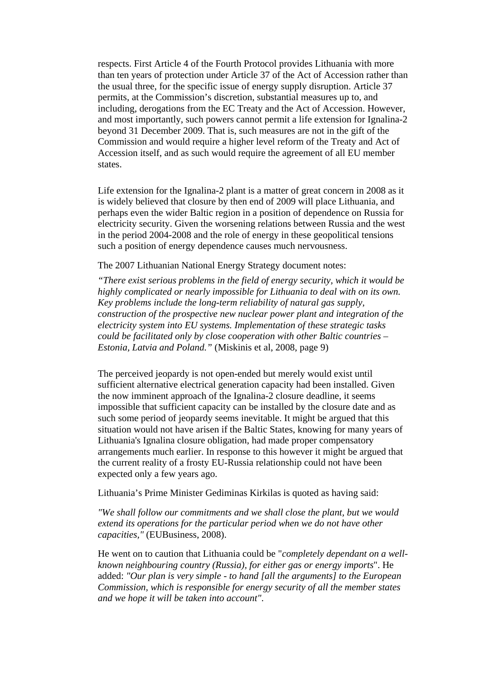respects. First Article 4 of the Fourth Protocol provides Lithuania with more than ten years of protection under Article 37 of the Act of Accession rather than the usual three, for the specific issue of energy supply disruption. Article 37 permits, at the Commission's discretion, substantial measures up to, and including, derogations from the EC Treaty and the Act of Accession. However, and most importantly, such powers cannot permit a life extension for Ignalina-2 beyond 31 December 2009. That is, such measures are not in the gift of the Commission and would require a higher level reform of the Treaty and Act of Accession itself, and as such would require the agreement of all EU member states.

Life extension for the Ignalina-2 plant is a matter of great concern in 2008 as it is widely believed that closure by then end of 2009 will place Lithuania, and perhaps even the wider Baltic region in a position of dependence on Russia for electricity security. Given the worsening relations between Russia and the west in the period 2004-2008 and the role of energy in these geopolitical tensions such a position of energy dependence causes much nervousness.

#### The 2007 Lithuanian National Energy Strategy document notes:

*"There exist serious problems in the field of energy security, which it would be highly complicated or nearly impossible for Lithuania to deal with on its own. Key problems include the long-term reliability of natural gas supply, construction of the prospective new nuclear power plant and integration of the electricity system into EU systems. Implementation of these strategic tasks could be facilitated only by close cooperation with other Baltic countries – Estonia, Latvia and Poland."* (Miskinis et al, 2008, page 9)

The perceived jeopardy is not open-ended but merely would exist until sufficient alternative electrical generation capacity had been installed. Given the now imminent approach of the Ignalina-2 closure deadline, it seems impossible that sufficient capacity can be installed by the closure date and as such some period of jeopardy seems inevitable. It might be argued that this situation would not have arisen if the Baltic States, knowing for many years of Lithuania's Ignalina closure obligation, had made proper compensatory arrangements much earlier. In response to this however it might be argued that the current reality of a frosty EU-Russia relationship could not have been expected only a few years ago.

Lithuania's Prime Minister Gediminas Kirkilas is quoted as having said:

*"We shall follow our commitments and we shall close the plant, but we would extend its operations for the particular period when we do not have other capacities,"* (EUBusiness, 2008).

He went on to caution that Lithuania could be "*completely dependant on a wellknown neighbouring country (Russia), for either gas or energy imports*". He added: *"Our plan is very simple - to hand [all the arguments] to the European Commission, which is responsible for energy security of all the member states and we hope it will be taken into account"*.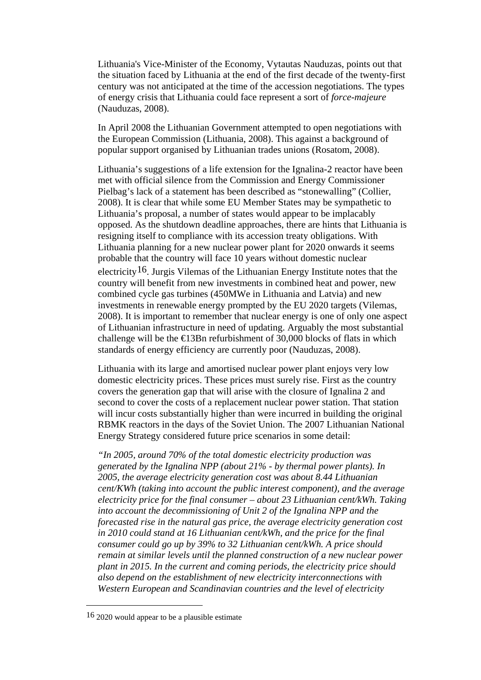Lithuania's Vice-Minister of the Economy, Vytautas Nauduzas, points out that the situation faced by Lithuania at the end of the first decade of the twenty-first century was not anticipated at the time of the accession negotiations. The types of energy crisis that Lithuania could face represent a sort of *force-majeure*  (Nauduzas, 2008).

In April 2008 the Lithuanian Government attempted to open negotiations with the European Commission (Lithuania, 2008). This against a background of popular support organised by Lithuanian trades unions (Rosatom, 2008).

Lithuania's suggestions of a life extension for the Ignalina-2 reactor have been met with official silence from the Commission and Energy Commissioner Pielbag's lack of a statement has been described as "stonewalling" (Collier, 2008). It is clear that while some EU Member States may be sympathetic to Lithuania's proposal, a number of states would appear to be implacably opposed. As the shutdown deadline approaches, there are hints that Lithuania is resigning itself to compliance with its accession treaty obligations. With Lithuania planning for a new nuclear power plant for 2020 onwards it seems probable that the country will face 10 years without domestic nuclear electricity<sup>[16](#page-16-0)</sup>. Jurgis Vilemas of the Lithuanian Energy Institute notes that the country will benefit from new investments in combined heat and power, new combined cycle gas turbines (450MWe in Lithuania and Latvia) and new investments in renewable energy prompted by the EU 2020 targets (Vilemas, 2008). It is important to remember that nuclear energy is one of only one aspect of Lithuanian infrastructure in need of updating. Arguably the most substantial challenge will be the  $\bigoplus$  3Bn refurbishment of 30,000 blocks of flats in which standards of energy efficiency are currently poor (Nauduzas, 2008).

Lithuania with its large and amortised nuclear power plant enjoys very low domestic electricity prices. These prices must surely rise. First as the country covers the generation gap that will arise with the closure of Ignalina 2 and second to cover the costs of a replacement nuclear power station. That station will incur costs substantially higher than were incurred in building the original RBMK reactors in the days of the Soviet Union. The 2007 Lithuanian National Energy Strategy considered future price scenarios in some detail:

*"In 2005, around 70% of the total domestic electricity production was generated by the Ignalina NPP (about 21% - by thermal power plants). In 2005, the average electricity generation cost was about 8.44 Lithuanian cent/KWh (taking into account the public interest component), and the average electricity price for the final consumer – about 23 Lithuanian cent/kWh. Taking into account the decommissioning of Unit 2 of the Ignalina NPP and the forecasted rise in the natural gas price, the average electricity generation cost in 2010 could stand at 16 Lithuanian cent/kWh, and the price for the final consumer could go up by 39% to 32 Lithuanian cent/kWh. A price should remain at similar levels until the planned construction of a new nuclear power plant in 2015. In the current and coming periods, the electricity price should also depend on the establishment of new electricity interconnections with Western European and Scandinavian countries and the level of electricity* 

<span id="page-16-0"></span> <sup>16</sup> 2020 would appear to be a plausible estimate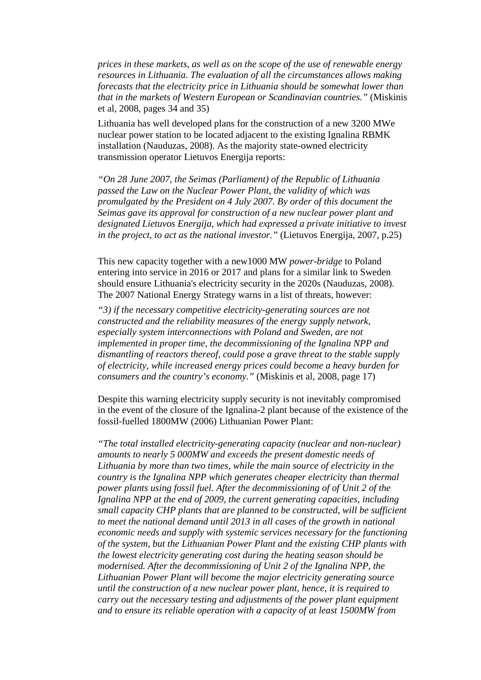*prices in these markets, as well as on the scope of the use of renewable energy resources in Lithuania. The evaluation of all the circumstances allows making forecasts that the electricity price in Lithuania should be somewhat lower than that in the markets of Western European or Scandinavian countries."* (Miskinis et al, 2008, pages 34 and 35)

Lithuania has well developed plans for the construction of a new 3200 MWe nuclear power station to be located adjacent to the existing Ignalina RBMK installation (Nauduzas, 2008). As the majority state-owned electricity transmission operator Lietuvos Energija reports:

*"On 28 June 2007, the Seimas (Parliament) of the Republic of Lithuania passed the Law on the Nuclear Power Plant, the validity of which was promulgated by the President on 4 July 2007. By order of this document the Seimas gave its approval for construction of a new nuclear power plant and designated Lietuvos Energija, which had expressed a private initiative to invest in the project, to act as the national investor."* (Lietuvos Energija, 2007, p.25)

This new capacity together with a new1000 MW *power-bridge* to Poland entering into service in 2016 or 2017 and plans for a similar link to Sweden should ensure Lithuania's electricity security in the 2020s (Nauduzas, 2008). The 2007 National Energy Strategy warns in a list of threats, however:

*"3) if the necessary competitive electricity-generating sources are not constructed and the reliability measures of the energy supply network, especially system interconnections with Poland and Sweden, are not implemented in proper time, the decommissioning of the Ignalina NPP and dismantling of reactors thereof, could pose a grave threat to the stable supply of electricity, while increased energy prices could become a heavy burden for consumers and the country's economy."* (Miskinis et al, 2008, page 17)

Despite this warning electricity supply security is not inevitably compromised in the event of the closure of the Ignalina-2 plant because of the existence of the fossil-fuelled 1800MW (2006) Lithuanian Power Plant:

*"The total installed electricity-generating capacity (nuclear and non-nuclear) amounts to nearly 5 000MW and exceeds the present domestic needs of Lithuania by more than two times, while the main source of electricity in the country is the Ignalina NPP which generates cheaper electricity than thermal power plants using fossil fuel. After the decommissioning of of Unit 2 of the Ignalina NPP at the end of 2009, the current generating capacities, including small capacity CHP plants that are planned to be constructed, will be sufficient to meet the national demand until 2013 in all cases of the growth in national economic needs and supply with systemic services necessary for the functioning of the system, but the Lithuanian Power Plant and the existing CHP plants with the lowest electricity generating cost during the heating season should be modernised. After the decommissioning of Unit 2 of the Ignalina NPP, the Lithuanian Power Plant will become the major electricity generating source until the construction of a new nuclear power plant, hence, it is required to carry out the necessary testing and adjustments of the power plant equipment and to ensure its reliable operation with a capacity of at least 1500MW from*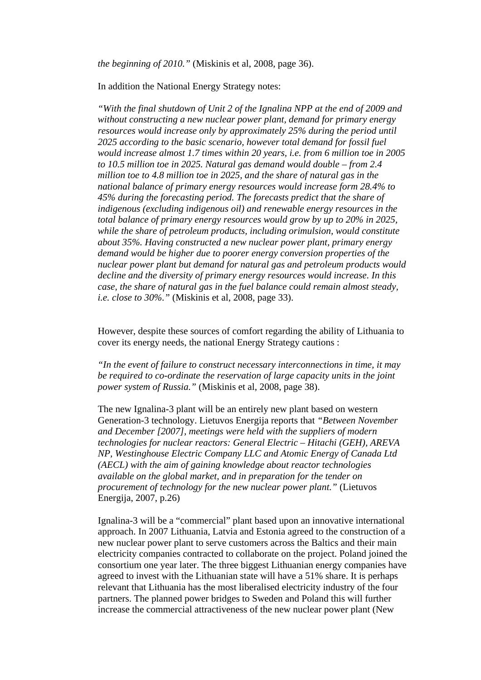*the beginning of 2010."* (Miskinis et al, 2008, page 36).

In addition the National Energy Strategy notes:

*"With the final shutdown of Unit 2 of the Ignalina NPP at the end of 2009 and without constructing a new nuclear power plant, demand for primary energy resources would increase only by approximately 25% during the period until 2025 according to the basic scenario, however total demand for fossil fuel would increase almost 1.7 times within 20 years, i.e. from 6 million toe in 2005 to 10.5 million toe in 2025. Natural gas demand would double – from 2.4 million toe to 4.8 million toe in 2025, and the share of natural gas in the national balance of primary energy resources would increase form 28.4% to 45% during the forecasting period. The forecasts predict that the share of indigenous (excluding indigenous oil) and renewable energy resources in the total balance of primary energy resources would grow by up to 20% in 2025, while the share of petroleum products, including orimulsion, would constitute about 35%. Having constructed a new nuclear power plant, primary energy demand would be higher due to poorer energy conversion properties of the nuclear power plant but demand for natural gas and petroleum products would decline and the diversity of primary energy resources would increase. In this case, the share of natural gas in the fuel balance could remain almost steady, i.e. close to 30%."* (Miskinis et al, 2008, page 33).

However, despite these sources of comfort regarding the ability of Lithuania to cover its energy needs, the national Energy Strategy cautions :

*"In the event of failure to construct necessary interconnections in time, it may be required to co-ordinate the reservation of large capacity units in the joint power system of Russia."* (Miskinis et al, 2008, page 38).

The new Ignalina-3 plant will be an entirely new plant based on western Generation-3 technology. Lietuvos Energija reports that *"Between November and December [2007], meetings were held with the suppliers of modern technologies for nuclear reactors: General Electric – Hitachi (GEH), AREVA NP, Westinghouse Electric Company LLC and Atomic Energy of Canada Ltd (AECL) with the aim of gaining knowledge about reactor technologies available on the global market, and in preparation for the tender on procurement of technology for the new nuclear power plant."* (Lietuvos Energija, 2007, p.26)

Ignalina-3 will be a "commercial" plant based upon an innovative international approach. In 2007 Lithuania, Latvia and Estonia agreed to the construction of a new nuclear power plant to serve customers across the Baltics and their main electricity companies contracted to collaborate on the project. Poland joined the consortium one year later. The three biggest Lithuanian energy companies have agreed to invest with the Lithuanian state will have a 51% share. It is perhaps relevant that Lithuania has the most liberalised electricity industry of the four partners. The planned power bridges to Sweden and Poland this will further increase the commercial attractiveness of the new nuclear power plant (New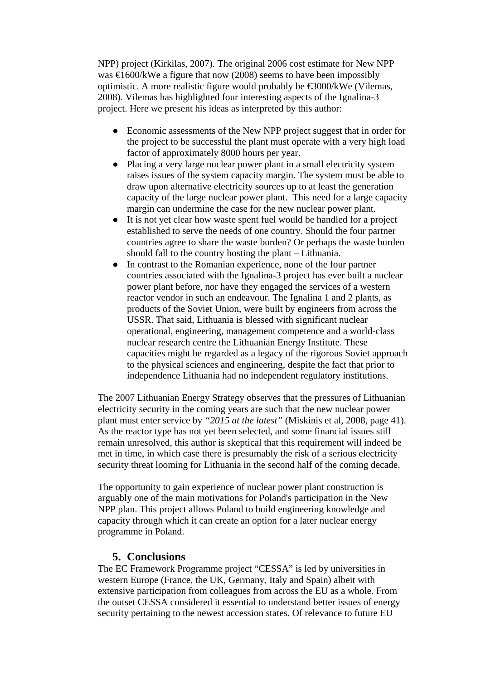NPP) project (Kirkilas, 2007). The original 2006 cost estimate for New NPP was €1600/kWe a figure that now (2008) seems to have been impossibly optimistic. A more realistic figure would probably be  $\text{\textsterling}3000/\text{kWe}$  (Vilemas, 2008). Vilemas has highlighted four interesting aspects of the Ignalina-3 project. Here we present his ideas as interpreted by this author:

- Economic assessments of the New NPP project suggest that in order for the project to be successful the plant must operate with a very high load factor of approximately 8000 hours per year.
- Placing a very large nuclear power plant in a small electricity system raises issues of the system capacity margin. The system must be able to draw upon alternative electricity sources up to at least the generation capacity of the large nuclear power plant. This need for a large capacity margin can undermine the case for the new nuclear power plant.
- It is not yet clear how waste spent fuel would be handled for a project established to serve the needs of one country. Should the four partner countries agree to share the waste burden? Or perhaps the waste burden should fall to the country hosting the plant – Lithuania.
- In contrast to the Romanian experience, none of the four partner countries associated with the Ignalina-3 project has ever built a nuclear power plant before, nor have they engaged the services of a western reactor vendor in such an endeavour. The Ignalina 1 and 2 plants, as products of the Soviet Union, were built by engineers from across the USSR. That said, Lithuania is blessed with significant nuclear operational, engineering, management competence and a world-class nuclear research centre the Lithuanian Energy Institute. These capacities might be regarded as a legacy of the rigorous Soviet approach to the physical sciences and engineering, despite the fact that prior to independence Lithuania had no independent regulatory institutions.

The 2007 Lithuanian Energy Strategy observes that the pressures of Lithuanian electricity security in the coming years are such that the new nuclear power plant must enter service by *"2015 at the latest"* (Miskinis et al, 2008, page 41). As the reactor type has not yet been selected, and some financial issues still remain unresolved, this author is skeptical that this requirement will indeed be met in time, in which case there is presumably the risk of a serious electricity security threat looming for Lithuania in the second half of the coming decade.

The opportunity to gain experience of nuclear power plant construction is arguably one of the main motivations for Poland's participation in the New NPP plan. This project allows Poland to build engineering knowledge and capacity through which it can create an option for a later nuclear energy programme in Poland.

## **5. Conclusions**

The EC Framework Programme project "CESSA" is led by universities in western Europe (France, the UK, Germany, Italy and Spain) albeit with extensive participation from colleagues from across the EU as a whole. From the outset CESSA considered it essential to understand better issues of energy security pertaining to the newest accession states. Of relevance to future EU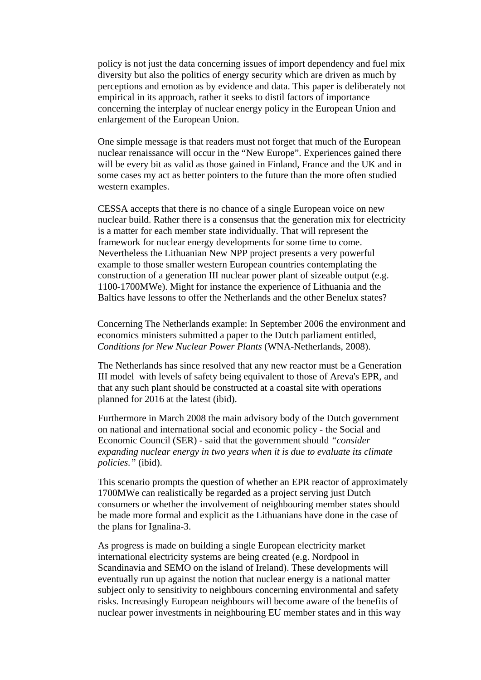policy is not just the data concerning issues of import dependency and fuel mix diversity but also the politics of energy security which are driven as much by perceptions and emotion as by evidence and data. This paper is deliberately not empirical in its approach, rather it seeks to distil factors of importance concerning the interplay of nuclear energy policy in the European Union and enlargement of the European Union.

One simple message is that readers must not forget that much of the European nuclear renaissance will occur in the "New Europe". Experiences gained there will be every bit as valid as those gained in Finland, France and the UK and in some cases my act as better pointers to the future than the more often studied western examples.

CESSA accepts that there is no chance of a single European voice on new nuclear build. Rather there is a consensus that the generation mix for electricity is a matter for each member state individually. That will represent the framework for nuclear energy developments for some time to come. Nevertheless the Lithuanian New NPP project presents a very powerful example to those smaller western European countries contemplating the construction of a generation III nuclear power plant of sizeable output (e.g. 1100-1700MWe). Might for instance the experience of Lithuania and the Baltics have lessons to offer the Netherlands and the other Benelux states?

Concerning The Netherlands example: In September 2006 the environment and economics ministers submitted a paper to the Dutch parliament entitled, *Conditions for New Nuclear Power Plants* (WNA-Netherlands, 2008).

The Netherlands has since resolved that any new reactor must be a Generation III model with levels of safety being equivalent to those of Areva's EPR, and that any such plant should be constructed at a coastal site with operations planned for 2016 at the latest (ibid).

Furthermore in March 2008 the main advisory body of the Dutch government on national and international social and economic policy - the Social and Economic Council (SER) - said that the government should *"consider expanding nuclear energy in two years when it is due to evaluate its climate policies."* (ibid).

This scenario prompts the question of whether an EPR reactor of approximately 1700MWe can realistically be regarded as a project serving just Dutch consumers or whether the involvement of neighbouring member states should be made more formal and explicit as the Lithuanians have done in the case of the plans for Ignalina-3.

As progress is made on building a single European electricity market international electricity systems are being created (e.g. Nordpool in Scandinavia and SEMO on the island of Ireland). These developments will eventually run up against the notion that nuclear energy is a national matter subject only to sensitivity to neighbours concerning environmental and safety risks. Increasingly European neighbours will become aware of the benefits of nuclear power investments in neighbouring EU member states and in this way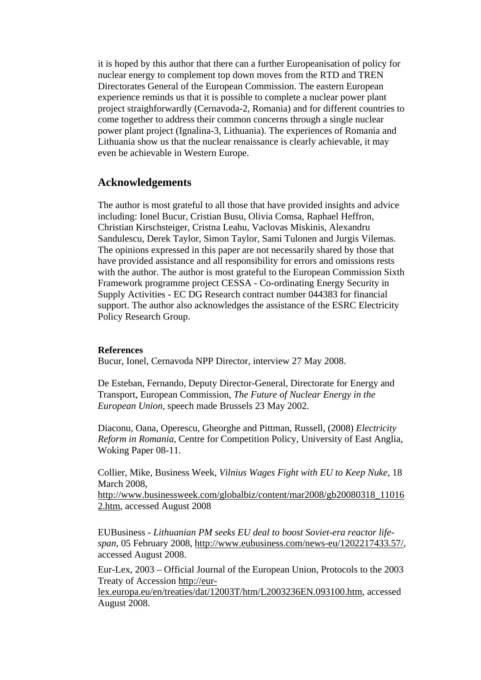it is hoped by this author that there can a further Europeanisation of policy for nuclear energy to complement top down moves from the RTD and TREN Directorates General of the European Commission. The eastern European experience reminds us that it is possible to complete a nuclear power plant project straighforwardly (Cernavoda-2, Romania) and for different countries to come together to address their common concerns through a single nuclear power plant project (Ignalina-3, Lithuania). The experiences of Romania and Lithuania show us that the nuclear renaissance is clearly achievable, it may even be achievable in Western Europe.

## **Acknowledgements**

The author is most grateful to all those that have provided insights and advice including: Ionel Bucur, Cristian Busu, Olivia Comsa, Raphael Heffron, Christian Kirschsteiger, Cristna Leahu, Vaclovas Miskinis, Alexandru Sandulescu, Derek Taylor, Simon Taylor, Sami Tulonen and Jurgis Vilemas. The opinions expressed in this paper are not necessarily shared by those that have provided assistance and all responsibility for errors and omissions rests with the author. The author is most grateful to the European Commission Sixth Framework programme project CESSA - Co-ordinating Energy Security in Supply Activities - EC DG Research contract number 044383 for financial support. The author also acknowledges the assistance of the ESRC Electricity Policy Research Group.

#### **References**

Bucur, Ionel, Cernavoda NPP Director, interview 27 May 2008.

De Esteban, Fernando, Deputy Director-General, Directorate for Energy and Transport, European Commission, *The Future of Nuclear Energy in the European Union,* speech made Brussels 23 May 2002.

Diaconu, Oana, Operescu, Gheorghe and Pittman, Russell, (2008) *Electricity Reform in Romania,* Centre for Competition Policy, University of East Anglia, Woking Paper 08-11.

Collier, Mike, Business Week, *Vilnius Wages Fight with EU to Keep Nuke,* 18 March 2008,

http://www.businessweek.com/globalbiz/content/mar2008/gb20080318\_11016 2.htm, accessed August 2008

EUBusiness - *Lithuanian PM seeks EU deal to boost Soviet-era reactor lifespan*, 05 February 2008, http://www.eubusiness.com/news-eu/1202217433.57/, accessed August 2008.

Eur-Lex, 2003 – Official Journal of the European Union, Protocols to the 2003 Treaty of Accession http://eur-

lex.europa.eu/en/treaties/dat/12003T/htm/L2003236EN.093100.htm, accessed August 2008.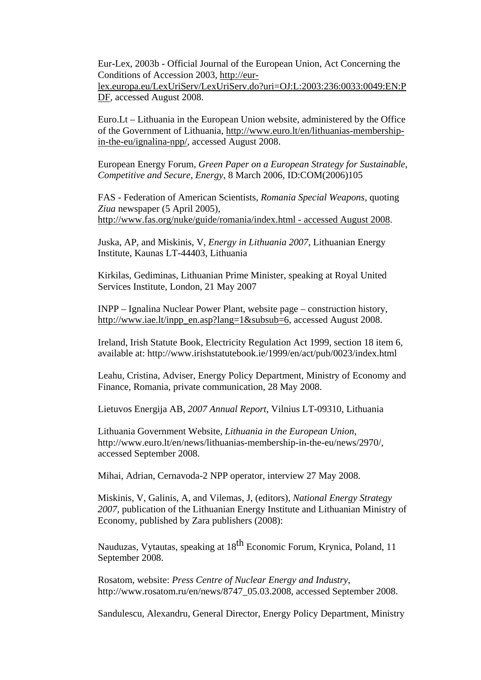Eur-Lex, 2003b - Official Journal of the European Union, Act Concerning the Conditions of Accession 2003, http://eurlex.europa.eu/LexUriServ/LexUriServ.do?uri=OJ:L:2003:236:0033:0049:EN:P DF, accessed August 2008.

Euro.Lt – Lithuania in the European Union website, administered by the Office of the Government of Lithuania, http://www.euro.lt/en/lithuanias-membershipin-the-eu/ignalina-npp/, accessed August 2008.

European Energy Forum, *Green Paper on a European Strategy for Sustainable, Competitive and Secure, Energy*, 8 March 2006, ID:COM(2006)105

FAS - Federation of American Scientists, *Romania Special Weapons,* quoting *Ziua* newspaper (5 April 2005), http://www.fas.org/nuke/guide/romania/index.html - accessed August 2008.

Juska, AP, and Miskinis, V, *Energy in Lithuania 2007*, Lithuanian Energy Institute, Kaunas LT-44403, Lithuania

Kirkilas, Gediminas, Lithuanian Prime Minister, speaking at Royal United Services Institute, London, 21 May 2007

INPP – Ignalina Nuclear Power Plant, website page – construction history, http://www.iae.lt/inpp\_en.asp?lang=1&subsub=6, accessed August 2008.

Ireland, Irish Statute Book, Electricity Regulation Act 1999, section 18 item 6, available at: http://www.irishstatutebook.ie/1999/en/act/pub/0023/index.html

Leahu, Cristina, Adviser, Energy Policy Department, Ministry of Economy and Finance, Romania, private communication, 28 May 2008.

Lietuvos Energija AB, *2007 Annual Report*, Vilnius LT-09310, Lithuania

Lithuania Government Website, *Lithuania in the European Union,*  http://www.euro.lt/en/news/lithuanias-membership-in-the-eu/news/2970/, accessed September 2008.

Mihai, Adrian, Cernavoda-2 NPP operator, interview 27 May 2008.

Miskinis, V, Galinis, A, and Vilemas, J, (editors), *National Energy Strategy 2007,* publication of the Lithuanian Energy Institute and Lithuanian Ministry of Economy, published by Zara publishers (2008):

Nauduzas, Vytautas, speaking at 18<sup>th</sup> Economic Forum, Krynica, Poland, 11 September 2008.

Rosatom, website: *Press Centre of Nuclear Energy and Industry*, http://www.rosatom.ru/en/news/8747\_05.03.2008, accessed September 2008.

Sandulescu, Alexandru, General Director, Energy Policy Department, Ministry